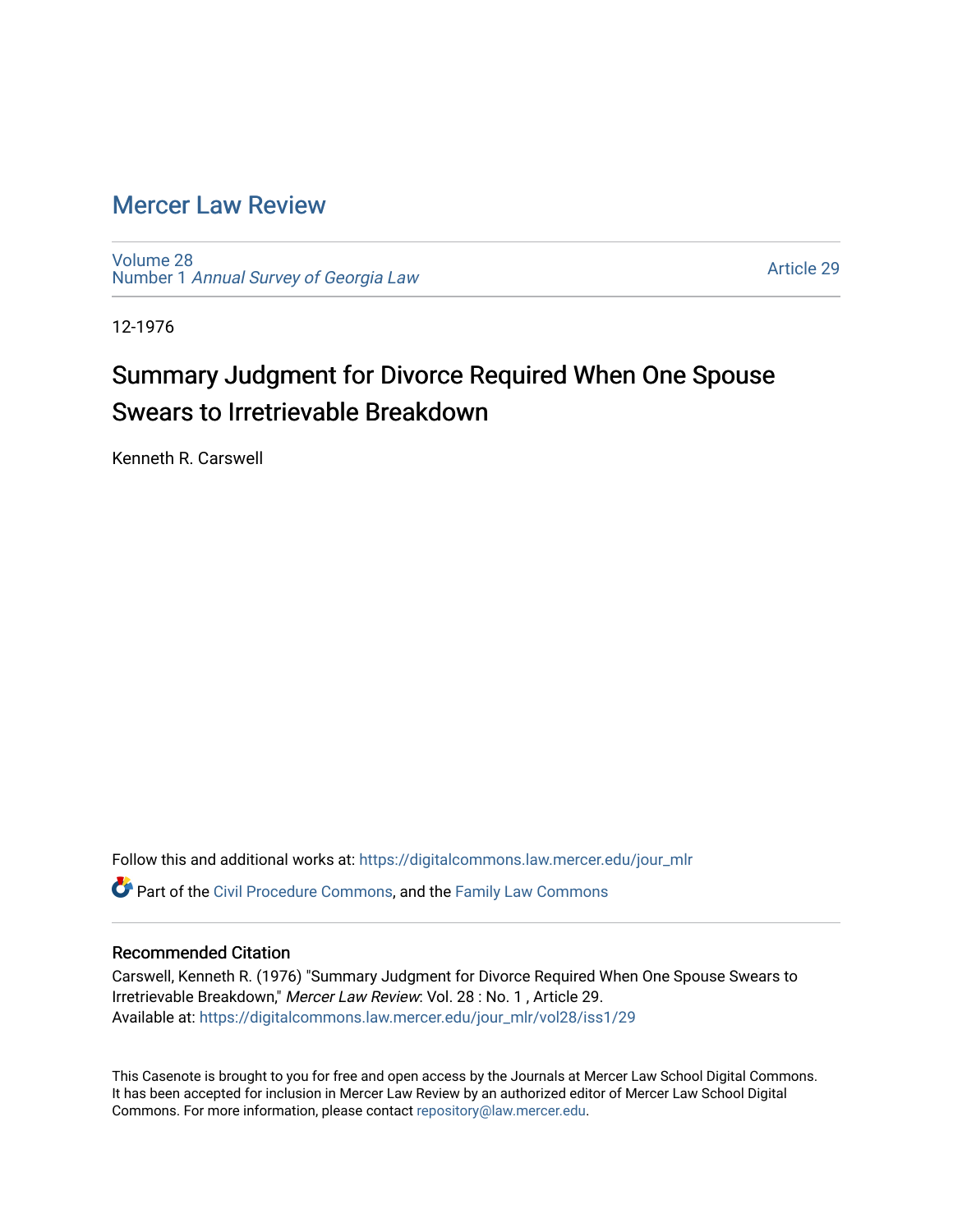## [Mercer Law Review](https://digitalcommons.law.mercer.edu/jour_mlr)

[Volume 28](https://digitalcommons.law.mercer.edu/jour_mlr/vol28) Number 1 [Annual Survey of Georgia Law](https://digitalcommons.law.mercer.edu/jour_mlr/vol28/iss1) 

[Article 29](https://digitalcommons.law.mercer.edu/jour_mlr/vol28/iss1/29) 

12-1976

## Summary Judgment for Divorce Required When One Spouse Swears to Irretrievable Breakdown

Kenneth R. Carswell

Follow this and additional works at: [https://digitalcommons.law.mercer.edu/jour\\_mlr](https://digitalcommons.law.mercer.edu/jour_mlr?utm_source=digitalcommons.law.mercer.edu%2Fjour_mlr%2Fvol28%2Fiss1%2F29&utm_medium=PDF&utm_campaign=PDFCoverPages) Part of the [Civil Procedure Commons,](http://network.bepress.com/hgg/discipline/584?utm_source=digitalcommons.law.mercer.edu%2Fjour_mlr%2Fvol28%2Fiss1%2F29&utm_medium=PDF&utm_campaign=PDFCoverPages) and the [Family Law Commons](http://network.bepress.com/hgg/discipline/602?utm_source=digitalcommons.law.mercer.edu%2Fjour_mlr%2Fvol28%2Fiss1%2F29&utm_medium=PDF&utm_campaign=PDFCoverPages)

## Recommended Citation

Carswell, Kenneth R. (1976) "Summary Judgment for Divorce Required When One Spouse Swears to Irretrievable Breakdown," Mercer Law Review: Vol. 28 : No. 1 , Article 29. Available at: [https://digitalcommons.law.mercer.edu/jour\\_mlr/vol28/iss1/29](https://digitalcommons.law.mercer.edu/jour_mlr/vol28/iss1/29?utm_source=digitalcommons.law.mercer.edu%2Fjour_mlr%2Fvol28%2Fiss1%2F29&utm_medium=PDF&utm_campaign=PDFCoverPages) 

This Casenote is brought to you for free and open access by the Journals at Mercer Law School Digital Commons. It has been accepted for inclusion in Mercer Law Review by an authorized editor of Mercer Law School Digital Commons. For more information, please contact [repository@law.mercer.edu.](mailto:repository@law.mercer.edu)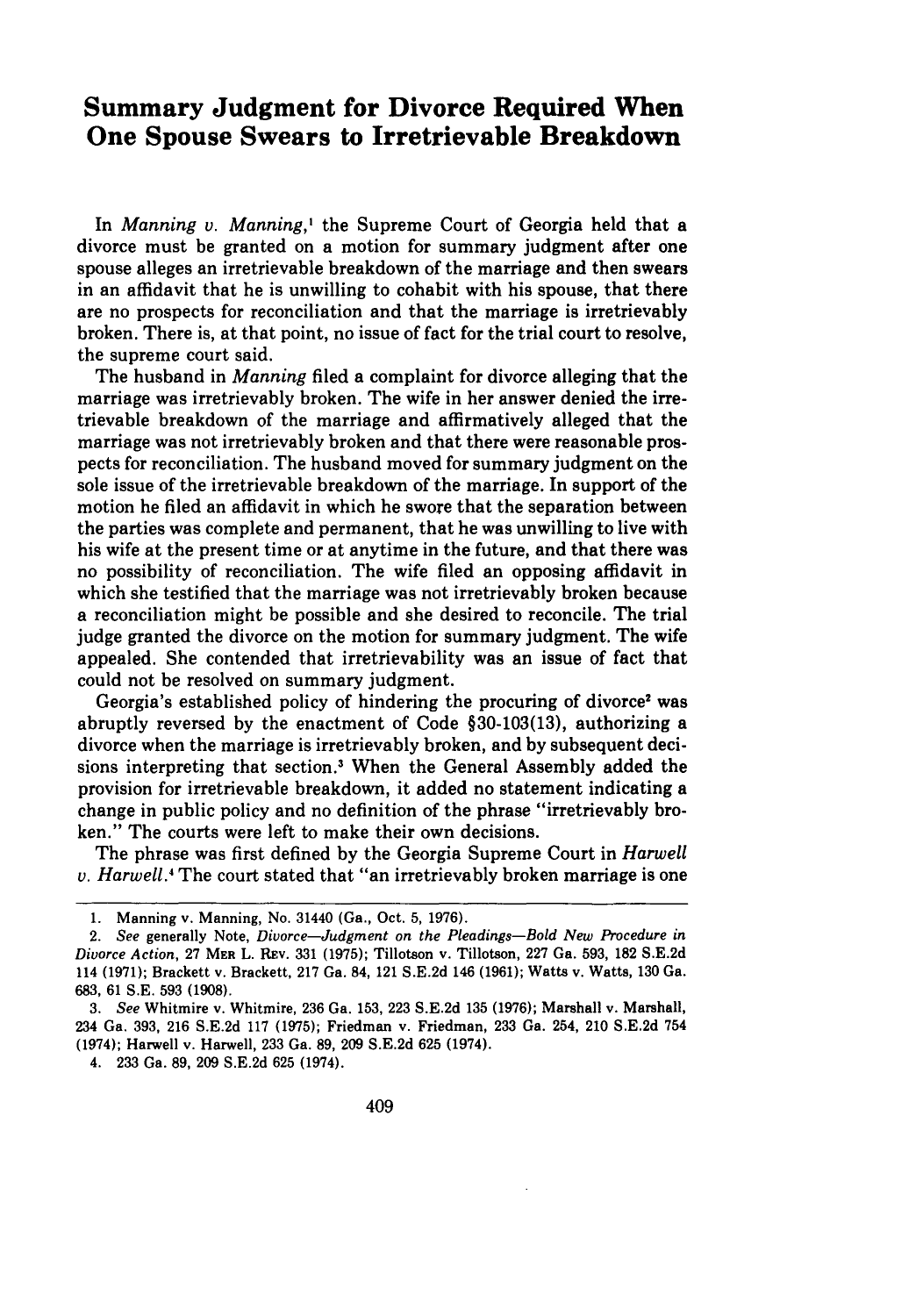## **Summary Judgment for Divorce Required When One Spouse Swears to Irretrievable Breakdown**

In *Manning v. Manning,'* the Supreme Court of Georgia held that a divorce must be granted on a motion for summary judgment after one spouse alleges an irretrievable breakdown of the marriage and then swears in an affidavit that he is unwilling to cohabit with his spouse, that there are no prospects for reconciliation and that the marriage is irretrievably broken. There is, at that point, no issue of fact for the trial court to resolve, the supreme court said.

The husband in *Manning* filed a complaint for divorce alleging that the marriage was irretrievably broken. The wife in her answer denied the irretrievable breakdown of the marriage and affirmatively alleged that the marriage was not irretrievably broken and that there were reasonable prospects for reconciliation. The husband moved for summary judgment on the sole issue of the irretrievable breakdown of the marriage. In support of the motion he filed an affidavit in which he swore that the separation between the parties was complete and permanent, that he was unwilling to live with his wife at the present time or at anytime in the future, and that there was no possibility of reconciliation. The wife filed an opposing affidavit in which she testified that the marriage was not irretrievably broken because a reconciliation might be possible and she desired to reconcile. The trial judge granted the divorce on the motion for summary judgment. The wife appealed. She contended that irretrievability was an issue of fact that could not be resolved on summary judgment.

Georgia's established policy of hindering the procuring of divorce' was abruptly reversed by the enactment of Code §30-103(13), authorizing a divorce when the marriage is irretrievably broken, and by subsequent decisions interpreting that section.' When the General Assembly added the provision for irretrievable breakdown, it added no statement indicating a change in public policy and no definition of the phrase "irretrievably broken." The courts were left to make their own decisions.

The phrase was first defined by the Georgia Supreme Court in *Harwell v. Harwell.4* The court stated that "an irretrievably broken marriage is one

<sup>1.</sup> Manning v. Manning, No. 31440 (Ga., Oct. 5, 1976).

*<sup>2.</sup> See* generally Note, *Divorce-Judgment on the Pleadings-Bold New Procedure in Divorce Action,* 27 **MER** L. Rv. 331 (1975); Tillotson v. Tillotson, 227 Ga. 593, 182 S.E.2d 114 (1971); Brackett v. Brackett, 217 Ga. 84, 121 S.E.2d 146 (1961); Watts v. Watts, 130 Ga. 683, 61 S.E. 593 (1908).

*<sup>3.</sup> See* Whitmire v. Whitmire, 236 Ga. 153, 223 S.E.2d 135 (1976); Marshall v. Marshall, 234 Ga. 393, 216 S.E.2d 117 (1975); Friedman v. Friedman, 233 Ga. 254, 210 S.E.2d 754 (1974); Harwell v. Harwell, 233 Ga. 89, 209 S.E.2d 625 (1974).

<sup>4. 233</sup> Ga. 89, 209 S.E.2d 625 (1974).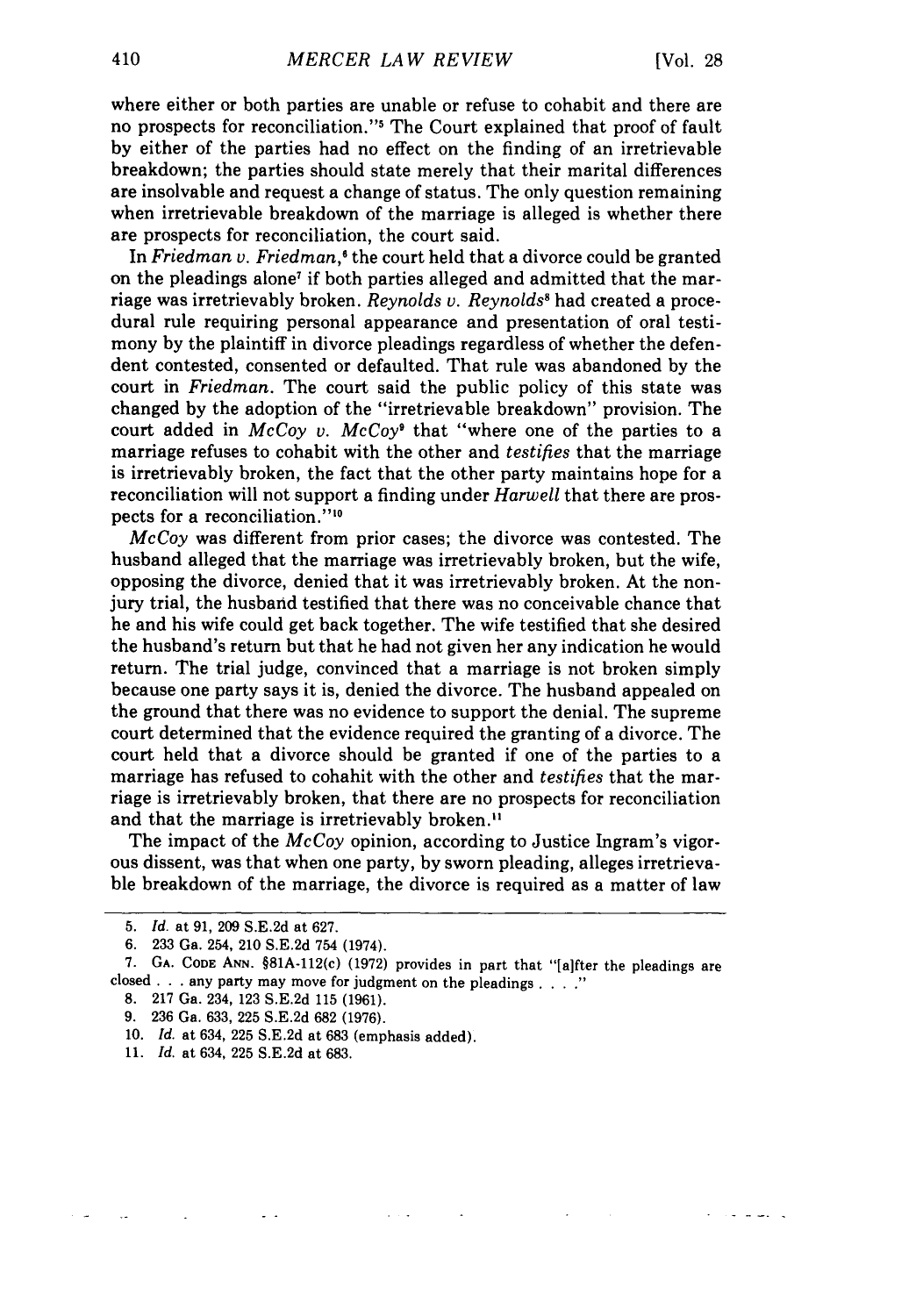where either or both parties are unable or refuse to cohabit and there are no prospects for reconciliation." The Court explained that proof of fault by either of the parties had no effect on the finding of an irretrievable breakdown; the parties should state merely that their marital differences are insolvable and request a change of status. The only question remaining when irretrievable breakdown of the marriage is alleged is whether there are prospects for reconciliation, the court said.

In *Friedman v. Friedman,'* the court held that a divorce could be granted on the pleadings alone<sup>7</sup> if both parties alleged and admitted that the marriage was irretrievably broken. *Reynolds v. Reynolds'* had created a procedural rule requiring personal appearance and presentation of oral testimony by the plaintiff in divorce pleadings regardless of whether the defendent contested, consented or defaulted. That rule was abandoned by the court in *Friedman.* The court said the public policy of this state was changed by the adoption of the "irretrievable breakdown" provision. The court added in *McCoy v. McCoy9* that "where one of the parties to a marriage refuses to cohabit with the other and *testifies* that the marriage is irretrievably broken, the fact that the other party maintains hope for a reconciliation will not support a finding under *Harwell* that there are prospects for a reconciliation."<sup>10</sup>

*McCoy* was different from prior cases; the divorce was contested. The husband alleged that the marriage was irretrievably broken, but the wife, opposing the divorce, denied that it was irretrievably broken. At the nonjury trial, the husband testified that there was no conceivable chance that he and his wife could get back together. The wife testified that she desired the husband's return but that he had not given her any indication he would return. The trial judge, convinced that a marriage is not broken simply because one party says it is, denied the divorce. The husband appealed on the ground that there was no evidence to support the denial. The supreme court determined that the evidence required the granting of a divorce. The court held that a divorce should be granted if one of the parties to a marriage has refused to cohahit with the other and *testifies* that the marriage is irretrievably broken, that there are no prospects for reconciliation and that the marriage is irretrievably broken."

The impact of the *McCoy* opinion, according to Justice Ingram's vigorous dissent, was that when one party, by sworn pleading, alleges irretrievable breakdown of the marriage, the divorce is required as a matter of law

- 8. 217 Ga. 234, 123 S.E.2d 115 (1961).
- 9. 236 Ga. 633, 225 S.E.2d 682 (1976).

11. *Id.* at 634, 225 S.E.2d at 683.

<sup>5.</sup> *Id.* at 91, 209 S.E.2d at 627.

<sup>6. 233</sup> Ga. 254, 210 S.E.2d 754 (1974).

<sup>7.</sup> **GA.** CODE **ANN.** §81A-112(c) (1972) provides in part that "[aifter the pleadings are closed .. .any party may move for judgment on the pleadings **....**

<sup>10.</sup> *Id.* at 634, 225 S.E.2d at 683 (emphasis added).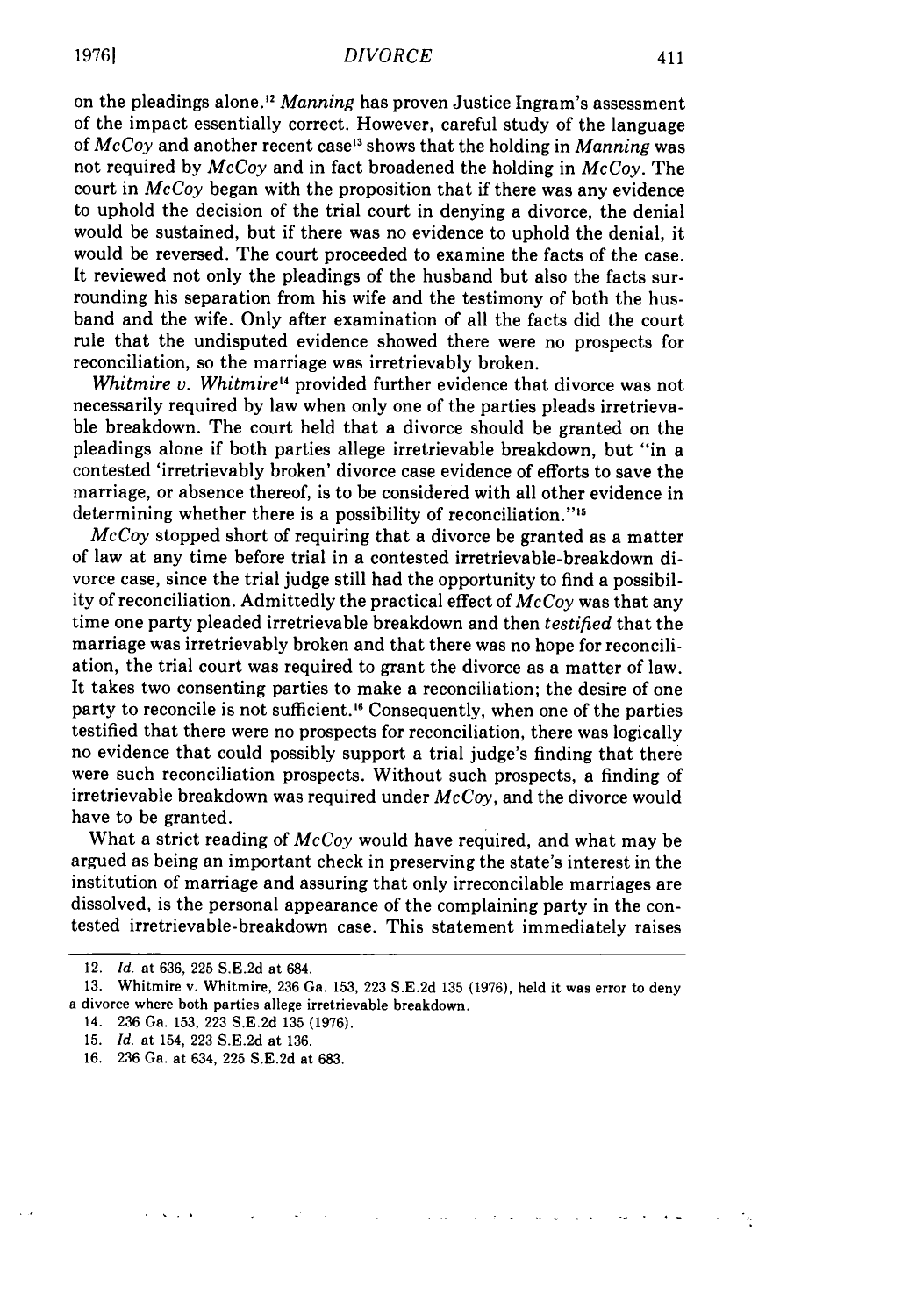**19761**

on the pleadings alone."2 *Manning* has proven Justice Ingram's assessment of the impact essentially correct. However, careful study of the language of *McCoy* and another recent case'3 shows that the holding in *Manning* was not required by *McCoy* and in fact broadened the holding in *McCoy.* The court in *McCoy* began with the proposition that if there was any evidence to uphold the decision of the trial court in denying a divorce, the denial would be sustained, but if there was no evidence to uphold the denial, it would be reversed. The court proceeded to examine the facts of the case. It reviewed not only the pleadings of the husband but also the facts surrounding his separation from his wife and the testimony of both the husband and the wife. Only after examination of all the facts did the court rule that the undisputed evidence showed there were no prospects for reconciliation, so the marriage was irretrievably broken.

*Whitmire v. Whitmire'4* provided further evidence that divorce was not necessarily required by law when only one of the parties pleads irretrievable breakdown. The court held that a divorce should be granted on the pleadings alone if both parties allege irretrievable breakdown, but "in a contested 'irretrievably broken' divorce case evidence of efforts to save the marriage, or absence thereof, is to be considered with all other evidence in determining whether there is a possibility of reconciliation."<sup>15</sup>

*McCoy* stopped short of requiring that a divorce be granted as a matter of law at any time before trial in a contested irretrievable-breakdown divorce case, since the trial judge still had the opportunity to find a possibility of reconciliation. Admittedly the practical effect of *Mc Coy* was that any time one party pleaded irretrievable breakdown and then *testified* that the marriage was irretrievably broken and that there was no hope for reconciliation, the trial court was required to grant the divorce as a matter of law. It takes two consenting parties to make a reconciliation; the desire of one party to reconcile is not sufficient." Consequently, when one of the parties testified that there were no prospects for reconciliation, there was logically no evidence that could possibly support a trial judge's finding that there were such reconciliation prospects. Without such prospects, a finding of irretrievable breakdown was required under *McCoy,* and the divorce would have to be granted.

What a strict reading of *McCoy* would have required, and what may be argued as being an important check in preserving the state's interest in the institution of marriage and assuring that only irreconcilable marriages are dissolved, is the personal appearance of the complaining party in the contested irretrievable-breakdown case. This statement immediately raises

<sup>12.</sup> *Id.* at **636, 225 S.E.2d** at 684.

<sup>13.</sup> Whitmire v. Whitmire, 236 Ga. 153, 223 S.E.2d 135 (1976), held it was error to deny a divorce where both parties allege irretrievable breakdown.

<sup>14. 236</sup> Ga. 153, 223 S.E.2d 135 (1976).

<sup>15.</sup> *Id.* at 154, 223 S.E.2d at 136.

<sup>16. 236</sup> Ga. at 634, 225 S.E.2d at 683.